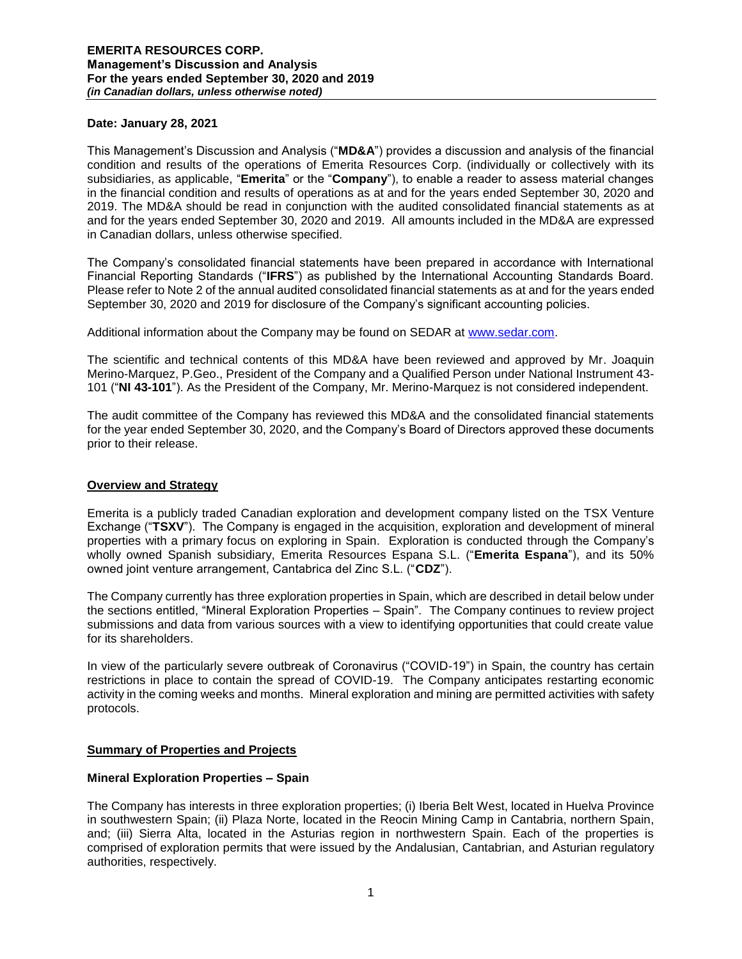### **Date: January 28, 2021**

This Management's Discussion and Analysis ("**MD&A**") provides a discussion and analysis of the financial condition and results of the operations of Emerita Resources Corp. (individually or collectively with its subsidiaries, as applicable, "**Emerita**" or the "**Company**"), to enable a reader to assess material changes in the financial condition and results of operations as at and for the years ended September 30, 2020 and 2019. The MD&A should be read in conjunction with the audited consolidated financial statements as at and for the years ended September 30, 2020 and 2019. All amounts included in the MD&A are expressed in Canadian dollars, unless otherwise specified.

The Company's consolidated financial statements have been prepared in accordance with International Financial Reporting Standards ("**IFRS**") as published by the International Accounting Standards Board. Please refer to Note 2 of the annual audited consolidated financial statements as at and for the years ended September 30, 2020 and 2019 for disclosure of the Company's significant accounting policies.

Additional information about the Company may be found on SEDAR at [www.sedar.com.](http://www.sedar.com/)

The scientific and technical contents of this MD&A have been reviewed and approved by Mr. Joaquin Merino-Marquez, P.Geo., President of the Company and a Qualified Person under National Instrument 43- 101 ("**NI 43-101**"). As the President of the Company, Mr. Merino-Marquez is not considered independent.

The audit committee of the Company has reviewed this MD&A and the consolidated financial statements for the year ended September 30, 2020, and the Company's Board of Directors approved these documents prior to their release.

### **Overview and Strategy**

Emerita is a publicly traded Canadian exploration and development company listed on the TSX Venture Exchange ("**TSXV**"). The Company is engaged in the acquisition, exploration and development of mineral properties with a primary focus on exploring in Spain. Exploration is conducted through the Company's wholly owned Spanish subsidiary, Emerita Resources Espana S.L. ("**Emerita Espana**"), and its 50% owned joint venture arrangement, Cantabrica del Zinc S.L. ("**CDZ**").

The Company currently has three exploration properties in Spain, which are described in detail below under the sections entitled, "Mineral Exploration Properties – Spain". The Company continues to review project submissions and data from various sources with a view to identifying opportunities that could create value for its shareholders.

In view of the particularly severe outbreak of Coronavirus ("COVID-19") in Spain, the country has certain restrictions in place to contain the spread of COVID-19. The Company anticipates restarting economic activity in the coming weeks and months. Mineral exploration and mining are permitted activities with safety protocols.

## **Summary of Properties and Projects**

## **Mineral Exploration Properties – Spain**

The Company has interests in three exploration properties; (i) Iberia Belt West, located in Huelva Province in southwestern Spain; (ii) Plaza Norte, located in the Reocin Mining Camp in Cantabria, northern Spain, and; (iii) Sierra Alta, located in the Asturias region in northwestern Spain. Each of the properties is comprised of exploration permits that were issued by the Andalusian, Cantabrian, and Asturian regulatory authorities, respectively.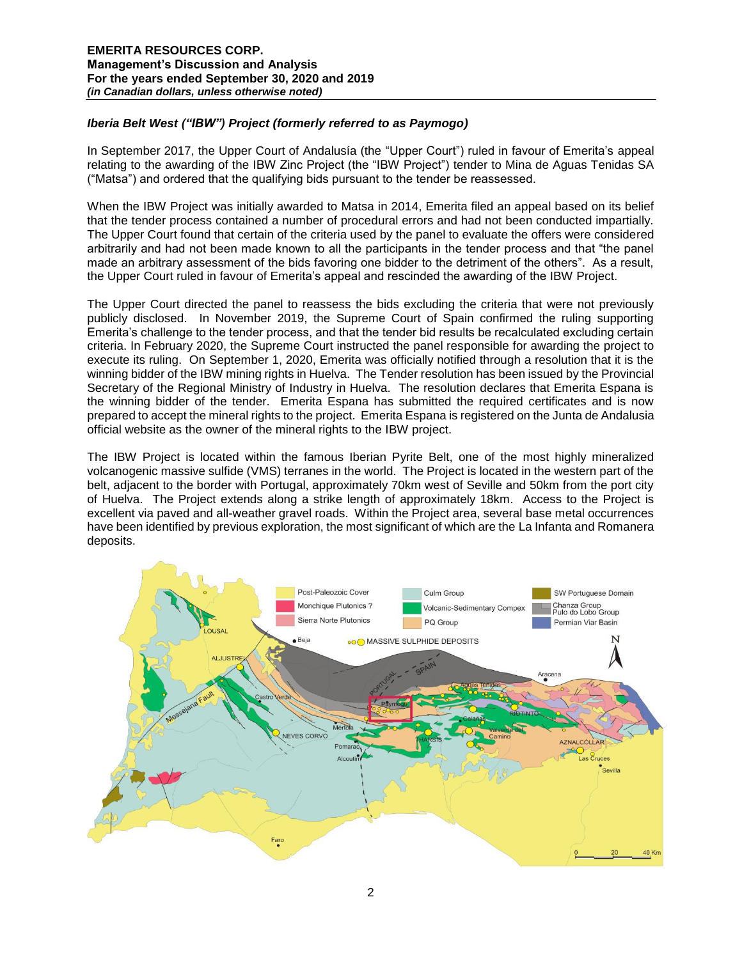## *Iberia Belt West ("IBW") Project (formerly referred to as Paymogo)*

In September 2017, the Upper Court of Andalusía (the "Upper Court") ruled in favour of Emerita's appeal relating to the awarding of the IBW Zinc Project (the "IBW Project") tender to Mina de Aguas Tenidas SA ("Matsa") and ordered that the qualifying bids pursuant to the tender be reassessed.

When the IBW Project was initially awarded to Matsa in 2014, Emerita filed an appeal based on its belief that the tender process contained a number of procedural errors and had not been conducted impartially. The Upper Court found that certain of the criteria used by the panel to evaluate the offers were considered arbitrarily and had not been made known to all the participants in the tender process and that "the panel made an arbitrary assessment of the bids favoring one bidder to the detriment of the others". As a result, the Upper Court ruled in favour of Emerita's appeal and rescinded the awarding of the IBW Project.

The Upper Court directed the panel to reassess the bids excluding the criteria that were not previously publicly disclosed. In November 2019, the Supreme Court of Spain confirmed the ruling supporting Emerita's challenge to the tender process, and that the tender bid results be recalculated excluding certain criteria. In February 2020, the Supreme Court instructed the panel responsible for awarding the project to execute its ruling. On September 1, 2020, Emerita was officially notified through a resolution that it is the winning bidder of the IBW mining rights in Huelva. The Tender resolution has been issued by the Provincial Secretary of the Regional Ministry of Industry in Huelva. The resolution declares that Emerita Espana is the winning bidder of the tender. Emerita Espana has submitted the required certificates and is now prepared to accept the mineral rights to the project. Emerita Espana is registered on the Junta de Andalusia official website as the owner of the mineral rights to the IBW project.

The IBW Project is located within the famous Iberian Pyrite Belt, one of the most highly mineralized volcanogenic massive sulfide (VMS) terranes in the world. The Project is located in the western part of the belt, adjacent to the border with Portugal, approximately 70km west of Seville and 50km from the port city of Huelva. The Project extends along a strike length of approximately 18km. Access to the Project is excellent via paved and all-weather gravel roads. Within the Project area, several base metal occurrences have been identified by previous exploration, the most significant of which are the La Infanta and Romanera deposits.

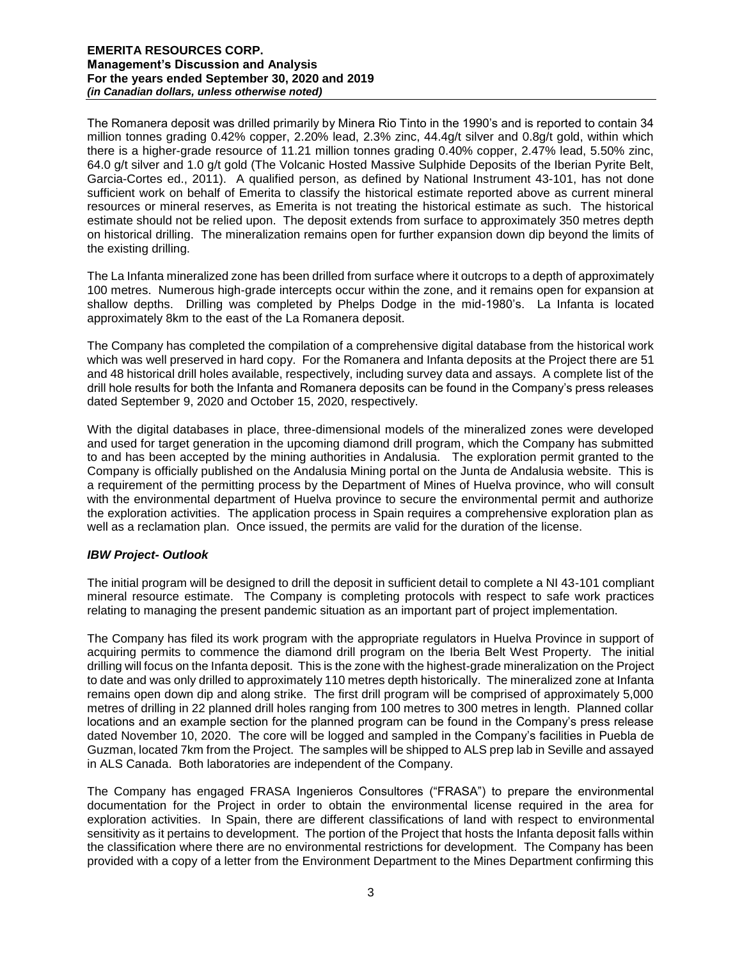The Romanera deposit was drilled primarily by Minera Rio Tinto in the 1990's and is reported to contain 34 million tonnes grading 0.42% copper, 2.20% lead, 2.3% zinc, 44.4g/t silver and 0.8g/t gold, within which there is a higher-grade resource of 11.21 million tonnes grading 0.40% copper, 2.47% lead, 5.50% zinc, 64.0 g/t silver and 1.0 g/t gold (The Volcanic Hosted Massive Sulphide Deposits of the Iberian Pyrite Belt, Garcia-Cortes ed., 2011). A qualified person, as defined by National Instrument 43-101, has not done sufficient work on behalf of Emerita to classify the historical estimate reported above as current mineral resources or mineral reserves, as Emerita is not treating the historical estimate as such. The historical estimate should not be relied upon. The deposit extends from surface to approximately 350 metres depth on historical drilling. The mineralization remains open for further expansion down dip beyond the limits of the existing drilling.

The La Infanta mineralized zone has been drilled from surface where it outcrops to a depth of approximately 100 metres. Numerous high-grade intercepts occur within the zone, and it remains open for expansion at shallow depths. Drilling was completed by Phelps Dodge in the mid-1980's. La Infanta is located approximately 8km to the east of the La Romanera deposit.

The Company has completed the compilation of a comprehensive digital database from the historical work which was well preserved in hard copy. For the Romanera and Infanta deposits at the Project there are 51 and 48 historical drill holes available, respectively, including survey data and assays. A complete list of the drill hole results for both the Infanta and Romanera deposits can be found in the Company's press releases dated September 9, 2020 and October 15, 2020, respectively.

With the digital databases in place, three-dimensional models of the mineralized zones were developed and used for target generation in the upcoming diamond drill program, which the Company has submitted to and has been accepted by the mining authorities in Andalusia. The exploration permit granted to the Company is officially published on the Andalusia Mining portal on the Junta de Andalusia website. This is a requirement of the permitting process by the Department of Mines of Huelva province, who will consult with the environmental department of Huelva province to secure the environmental permit and authorize the exploration activities. The application process in Spain requires a comprehensive exploration plan as well as a reclamation plan. Once issued, the permits are valid for the duration of the license.

## *IBW Project- Outlook*

The initial program will be designed to drill the deposit in sufficient detail to complete a NI 43-101 compliant mineral resource estimate. The Company is completing protocols with respect to safe work practices relating to managing the present pandemic situation as an important part of project implementation.

The Company has filed its work program with the appropriate regulators in Huelva Province in support of acquiring permits to commence the diamond drill program on the Iberia Belt West Property. The initial drilling will focus on the Infanta deposit. This is the zone with the highest-grade mineralization on the Project to date and was only drilled to approximately 110 metres depth historically. The mineralized zone at Infanta remains open down dip and along strike. The first drill program will be comprised of approximately 5,000 metres of drilling in 22 planned drill holes ranging from 100 metres to 300 metres in length. Planned collar locations and an example section for the planned program can be found in the Company's press release dated November 10, 2020. The core will be logged and sampled in the Company's facilities in Puebla de Guzman, located 7km from the Project. The samples will be shipped to ALS prep lab in Seville and assayed in ALS Canada. Both laboratories are independent of the Company.

The Company has engaged FRASA Ingenieros Consultores ("FRASA") to prepare the environmental documentation for the Project in order to obtain the environmental license required in the area for exploration activities. In Spain, there are different classifications of land with respect to environmental sensitivity as it pertains to development. The portion of the Project that hosts the Infanta deposit falls within the classification where there are no environmental restrictions for development. The Company has been provided with a copy of a letter from the Environment Department to the Mines Department confirming this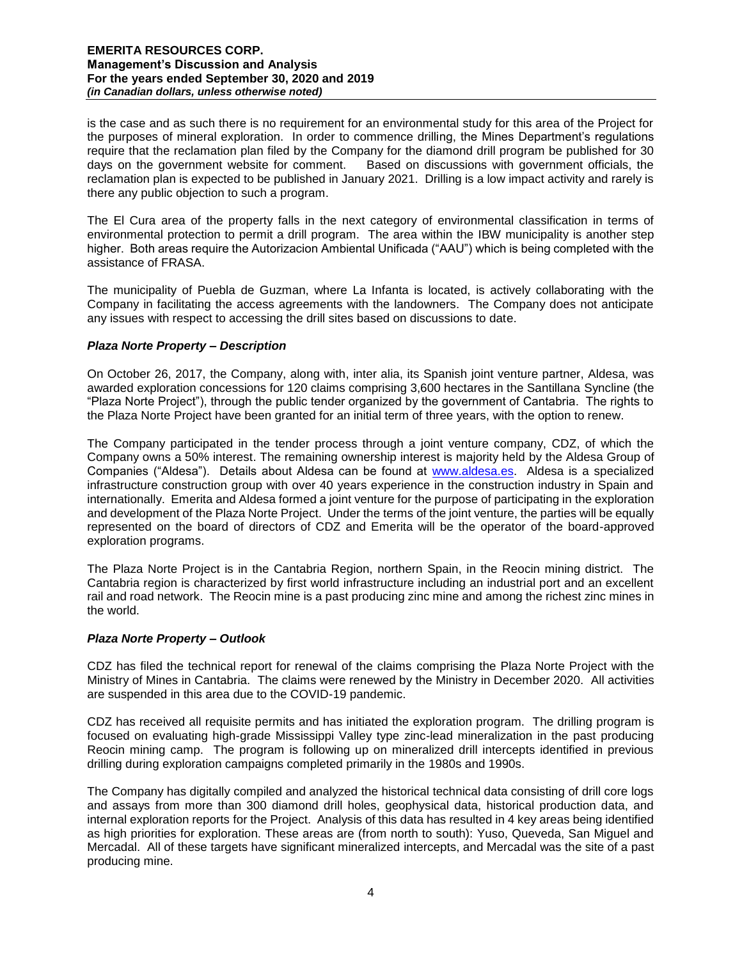is the case and as such there is no requirement for an environmental study for this area of the Project for the purposes of mineral exploration. In order to commence drilling, the Mines Department's regulations require that the reclamation plan filed by the Company for the diamond drill program be published for 30 days on the government website for comment. Based on discussions with government officials, the reclamation plan is expected to be published in January 2021. Drilling is a low impact activity and rarely is there any public objection to such a program.

The El Cura area of the property falls in the next category of environmental classification in terms of environmental protection to permit a drill program. The area within the IBW municipality is another step higher. Both areas require the Autorizacion Ambiental Unificada ("AAU") which is being completed with the assistance of FRASA.

The municipality of Puebla de Guzman, where La Infanta is located, is actively collaborating with the Company in facilitating the access agreements with the landowners. The Company does not anticipate any issues with respect to accessing the drill sites based on discussions to date.

## *Plaza Norte Property – Description*

On October 26, 2017, the Company, along with, inter alia, its Spanish joint venture partner, Aldesa, was awarded exploration concessions for 120 claims comprising 3,600 hectares in the Santillana Syncline (the "Plaza Norte Project"), through the public tender organized by the government of Cantabria. The rights to the Plaza Norte Project have been granted for an initial term of three years, with the option to renew.

The Company participated in the tender process through a joint venture company, CDZ, of which the Company owns a 50% interest. The remaining ownership interest is majority held by the Aldesa Group of Companies ("Aldesa"). Details about Aldesa can be found at [www.aldesa.es.](http://www.aldesa.es/) Aldesa is a specialized infrastructure construction group with over 40 years experience in the construction industry in Spain and internationally. Emerita and Aldesa formed a joint venture for the purpose of participating in the exploration and development of the Plaza Norte Project. Under the terms of the joint venture, the parties will be equally represented on the board of directors of CDZ and Emerita will be the operator of the board-approved exploration programs.

The Plaza Norte Project is in the Cantabria Region, northern Spain, in the Reocin mining district. The Cantabria region is characterized by first world infrastructure including an industrial port and an excellent rail and road network. The Reocin mine is a past producing zinc mine and among the richest zinc mines in the world.

## *Plaza Norte Property – Outlook*

CDZ has filed the technical report for renewal of the claims comprising the Plaza Norte Project with the Ministry of Mines in Cantabria. The claims were renewed by the Ministry in December 2020. All activities are suspended in this area due to the COVID-19 pandemic.

CDZ has received all requisite permits and has initiated the exploration program. The drilling program is focused on evaluating high-grade Mississippi Valley type zinc-lead mineralization in the past producing Reocin mining camp. The program is following up on mineralized drill intercepts identified in previous drilling during exploration campaigns completed primarily in the 1980s and 1990s.

The Company has digitally compiled and analyzed the historical technical data consisting of drill core logs and assays from more than 300 diamond drill holes, geophysical data, historical production data, and internal exploration reports for the Project. Analysis of this data has resulted in 4 key areas being identified as high priorities for exploration. These areas are (from north to south): Yuso, Queveda, San Miguel and Mercadal. All of these targets have significant mineralized intercepts, and Mercadal was the site of a past producing mine.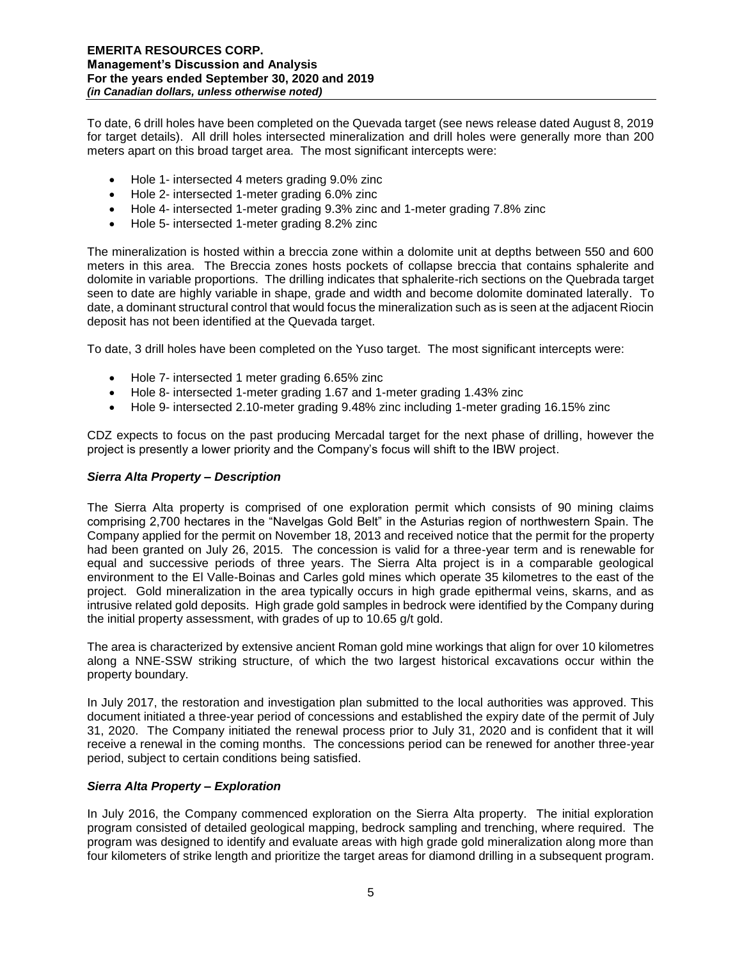To date, 6 drill holes have been completed on the Quevada target (see news release dated August 8, 2019 for target details). All drill holes intersected mineralization and drill holes were generally more than 200 meters apart on this broad target area. The most significant intercepts were:

- Hole 1- intersected 4 meters grading 9.0% zinc
- Hole 2- intersected 1-meter grading 6.0% zinc
- Hole 4- intersected 1-meter grading 9.3% zinc and 1-meter grading 7.8% zinc
- Hole 5- intersected 1-meter grading 8.2% zinc

The mineralization is hosted within a breccia zone within a dolomite unit at depths between 550 and 600 meters in this area. The Breccia zones hosts pockets of collapse breccia that contains sphalerite and dolomite in variable proportions. The drilling indicates that sphalerite-rich sections on the Quebrada target seen to date are highly variable in shape, grade and width and become dolomite dominated laterally. To date, a dominant structural control that would focus the mineralization such as is seen at the adjacent Riocin deposit has not been identified at the Quevada target.

To date, 3 drill holes have been completed on the Yuso target. The most significant intercepts were:

- Hole 7- intersected 1 meter grading 6.65% zinc
- Hole 8- intersected 1-meter grading 1.67 and 1-meter grading 1.43% zinc
- Hole 9- intersected 2.10-meter grading 9.48% zinc including 1-meter grading 16.15% zinc

CDZ expects to focus on the past producing Mercadal target for the next phase of drilling, however the project is presently a lower priority and the Company's focus will shift to the IBW project.

## *Sierra Alta Property – Description*

The Sierra Alta property is comprised of one exploration permit which consists of 90 mining claims comprising 2,700 hectares in the "Navelgas Gold Belt" in the Asturias region of northwestern Spain. The Company applied for the permit on November 18, 2013 and received notice that the permit for the property had been granted on July 26, 2015. The concession is valid for a three-year term and is renewable for equal and successive periods of three years. The Sierra Alta project is in a comparable geological environment to the El Valle-Boinas and Carles gold mines which operate 35 kilometres to the east of the project. Gold mineralization in the area typically occurs in high grade epithermal veins, skarns, and as intrusive related gold deposits. High grade gold samples in bedrock were identified by the Company during the initial property assessment, with grades of up to 10.65 g/t gold.

The area is characterized by extensive ancient Roman gold mine workings that align for over 10 kilometres along a NNE-SSW striking structure, of which the two largest historical excavations occur within the property boundary.

In July 2017, the restoration and investigation plan submitted to the local authorities was approved. This document initiated a three-year period of concessions and established the expiry date of the permit of July 31, 2020. The Company initiated the renewal process prior to July 31, 2020 and is confident that it will receive a renewal in the coming months. The concessions period can be renewed for another three-year period, subject to certain conditions being satisfied.

# *Sierra Alta Property – Exploration*

In July 2016, the Company commenced exploration on the Sierra Alta property. The initial exploration program consisted of detailed geological mapping, bedrock sampling and trenching, where required. The program was designed to identify and evaluate areas with high grade gold mineralization along more than four kilometers of strike length and prioritize the target areas for diamond drilling in a subsequent program.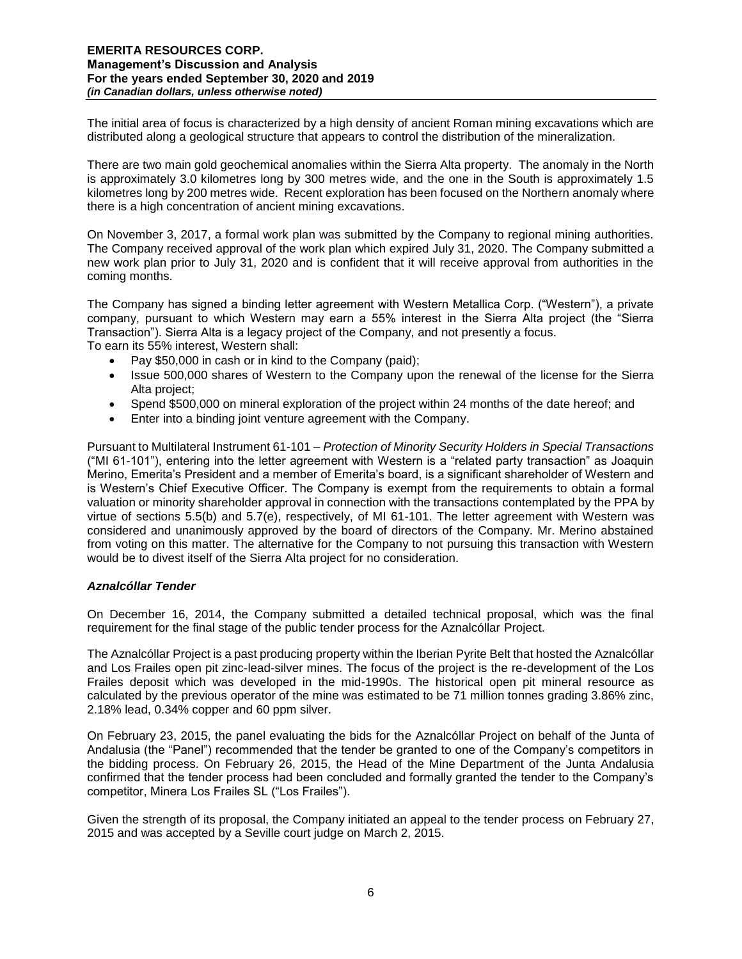The initial area of focus is characterized by a high density of ancient Roman mining excavations which are distributed along a geological structure that appears to control the distribution of the mineralization.

There are two main gold geochemical anomalies within the Sierra Alta property. The anomaly in the North is approximately 3.0 kilometres long by 300 metres wide, and the one in the South is approximately 1.5 kilometres long by 200 metres wide. Recent exploration has been focused on the Northern anomaly where there is a high concentration of ancient mining excavations.

On November 3, 2017, a formal work plan was submitted by the Company to regional mining authorities. The Company received approval of the work plan which expired July 31, 2020. The Company submitted a new work plan prior to July 31, 2020 and is confident that it will receive approval from authorities in the coming months.

The Company has signed a binding letter agreement with Western Metallica Corp. ("Western"), a private company, pursuant to which Western may earn a 55% interest in the Sierra Alta project (the "Sierra Transaction"). Sierra Alta is a legacy project of the Company, and not presently a focus.

To earn its 55% interest, Western shall:

- Pay \$50,000 in cash or in kind to the Company (paid);
- Issue 500,000 shares of Western to the Company upon the renewal of the license for the Sierra Alta project;
- Spend \$500,000 on mineral exploration of the project within 24 months of the date hereof; and
- Enter into a binding joint venture agreement with the Company.

Pursuant to Multilateral Instrument 61-101 – *Protection of Minority Security Holders in Special Transactions*  ("MI 61-101"), entering into the letter agreement with Western is a "related party transaction" as Joaquin Merino, Emerita's President and a member of Emerita's board, is a significant shareholder of Western and is Western's Chief Executive Officer. The Company is exempt from the requirements to obtain a formal valuation or minority shareholder approval in connection with the transactions contemplated by the PPA by virtue of sections 5.5(b) and 5.7(e), respectively, of MI 61-101. The letter agreement with Western was considered and unanimously approved by the board of directors of the Company. Mr. Merino abstained from voting on this matter. The alternative for the Company to not pursuing this transaction with Western would be to divest itself of the Sierra Alta project for no consideration.

## *Aznalcóllar Tender*

On December 16, 2014, the Company submitted a detailed technical proposal, which was the final requirement for the final stage of the public tender process for the Aznalcóllar Project.

The Aznalcóllar Project is a past producing property within the Iberian Pyrite Belt that hosted the Aznalcóllar and Los Frailes open pit zinc-lead-silver mines. The focus of the project is the re-development of the Los Frailes deposit which was developed in the mid-1990s. The historical open pit mineral resource as calculated by the previous operator of the mine was estimated to be 71 million tonnes grading 3.86% zinc, 2.18% lead, 0.34% copper and 60 ppm silver.

On February 23, 2015, the panel evaluating the bids for the Aznalcóllar Project on behalf of the Junta of Andalusia (the "Panel") recommended that the tender be granted to one of the Company's competitors in the bidding process. On February 26, 2015, the Head of the Mine Department of the Junta Andalusia confirmed that the tender process had been concluded and formally granted the tender to the Company's competitor, Minera Los Frailes SL ("Los Frailes").

Given the strength of its proposal, the Company initiated an appeal to the tender process on February 27, 2015 and was accepted by a Seville court judge on March 2, 2015.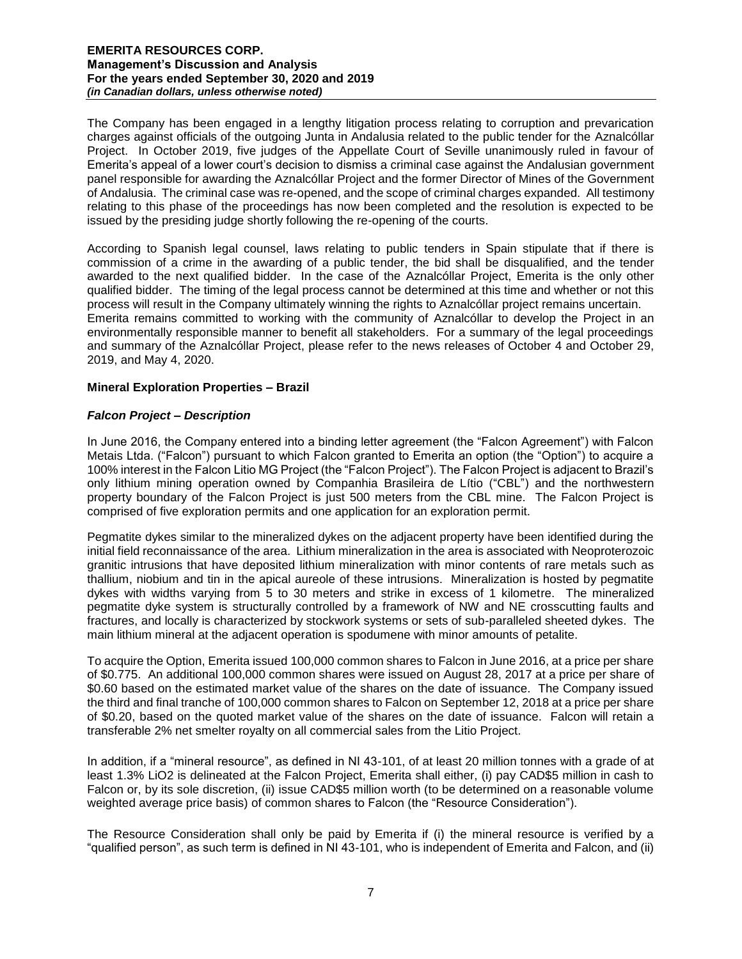The Company has been engaged in a lengthy litigation process relating to corruption and prevarication charges against officials of the outgoing Junta in Andalusia related to the public tender for the Aznalcóllar Project. In October 2019, five judges of the Appellate Court of Seville unanimously ruled in favour of Emerita's appeal of a lower court's decision to dismiss a criminal case against the Andalusian government panel responsible for awarding the Aznalcóllar Project and the former Director of Mines of the Government of Andalusia. The criminal case was re-opened, and the scope of criminal charges expanded. All testimony relating to this phase of the proceedings has now been completed and the resolution is expected to be issued by the presiding judge shortly following the re-opening of the courts.

According to Spanish legal counsel, laws relating to public tenders in Spain stipulate that if there is commission of a crime in the awarding of a public tender, the bid shall be disqualified, and the tender awarded to the next qualified bidder. In the case of the Aznalcóllar Project, Emerita is the only other qualified bidder. The timing of the legal process cannot be determined at this time and whether or not this process will result in the Company ultimately winning the rights to Aznalcóllar project remains uncertain. Emerita remains committed to working with the community of Aznalcóllar to develop the Project in an environmentally responsible manner to benefit all stakeholders. For a summary of the legal proceedings and summary of the Aznalcóllar Project, please refer to the news releases of October 4 and October 29, 2019, and May 4, 2020.

## **Mineral Exploration Properties – Brazil**

## *Falcon Project – Description*

In June 2016, the Company entered into a binding letter agreement (the "Falcon Agreement") with Falcon Metais Ltda. ("Falcon") pursuant to which Falcon granted to Emerita an option (the "Option") to acquire a 100% interest in the Falcon Litio MG Project (the "Falcon Project"). The Falcon Project is adjacent to Brazil's only lithium mining operation owned by Companhia Brasileira de Lí tio ("CBL") and the northwestern property boundary of the Falcon Project is just 500 meters from the CBL mine. The Falcon Project is comprised of five exploration permits and one application for an exploration permit.

Pegmatite dykes similar to the mineralized dykes on the adjacent property have been identified during the initial field reconnaissance of the area. Lithium mineralization in the area is associated with Neoproterozoic granitic intrusions that have deposited lithium mineralization with minor contents of rare metals such as thallium, niobium and tin in the apical aureole of these intrusions. Mineralization is hosted by pegmatite dykes with widths varying from 5 to 30 meters and strike in excess of 1 kilometre. The mineralized pegmatite dyke system is structurally controlled by a framework of NW and NE crosscutting faults and fractures, and locally is characterized by stockwork systems or sets of sub-paralleled sheeted dykes. The main lithium mineral at the adjacent operation is spodumene with minor amounts of petalite.

To acquire the Option, Emerita issued 100,000 common shares to Falcon in June 2016, at a price per share of \$0.775. An additional 100,000 common shares were issued on August 28, 2017 at a price per share of \$0.60 based on the estimated market value of the shares on the date of issuance. The Company issued the third and final tranche of 100,000 common shares to Falcon on September 12, 2018 at a price per share of \$0.20, based on the quoted market value of the shares on the date of issuance. Falcon will retain a transferable 2% net smelter royalty on all commercial sales from the Litio Project.

In addition, if a "mineral resource", as defined in NI 43-101, of at least 20 million tonnes with a grade of at least 1.3% LiO2 is delineated at the Falcon Project, Emerita shall either, (i) pay CAD\$5 million in cash to Falcon or, by its sole discretion, (ii) issue CAD\$5 million worth (to be determined on a reasonable volume weighted average price basis) of common shares to Falcon (the "Resource Consideration").

The Resource Consideration shall only be paid by Emerita if (i) the mineral resource is verified by a "qualified person", as such term is defined in NI 43-101, who is independent of Emerita and Falcon, and (ii)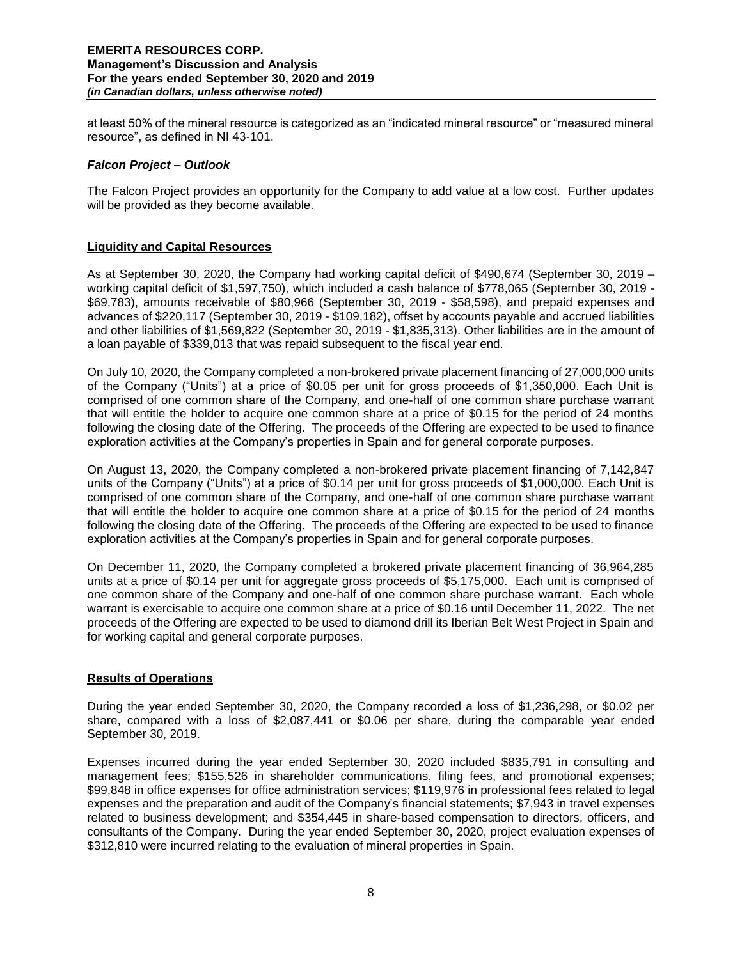at least 50% of the mineral resource is categorized as an "indicated mineral resource" or "measured mineral resource", as defined in NI 43-101.

### *Falcon Project – Outlook*

The Falcon Project provides an opportunity for the Company to add value at a low cost. Further updates will be provided as they become available.

## **Liquidity and Capital Resources**

As at September 30, 2020, the Company had working capital deficit of \$490,674 (September 30, 2019 – working capital deficit of \$1,597,750), which included a cash balance of \$778,065 (September 30, 2019 - \$69,783), amounts receivable of \$80,966 (September 30, 2019 - \$58,598), and prepaid expenses and advances of \$220,117 (September 30, 2019 - \$109,182), offset by accounts payable and accrued liabilities and other liabilities of \$1,569,822 (September 30, 2019 - \$1,835,313). Other liabilities are in the amount of a loan payable of \$339,013 that was repaid subsequent to the fiscal year end.

On July 10, 2020, the Company completed a non-brokered private placement financing of 27,000,000 units of the Company ("Units") at a price of \$0.05 per unit for gross proceeds of \$1,350,000. Each Unit is comprised of one common share of the Company, and one-half of one common share purchase warrant that will entitle the holder to acquire one common share at a price of \$0.15 for the period of 24 months following the closing date of the Offering. The proceeds of the Offering are expected to be used to finance exploration activities at the Company's properties in Spain and for general corporate purposes.

On August 13, 2020, the Company completed a non-brokered private placement financing of 7,142,847 units of the Company ("Units") at a price of \$0.14 per unit for gross proceeds of \$1,000,000. Each Unit is comprised of one common share of the Company, and one-half of one common share purchase warrant that will entitle the holder to acquire one common share at a price of \$0.15 for the period of 24 months following the closing date of the Offering. The proceeds of the Offering are expected to be used to finance exploration activities at the Company's properties in Spain and for general corporate purposes.

On December 11, 2020, the Company completed a brokered private placement financing of 36,964,285 units at a price of \$0.14 per unit for aggregate gross proceeds of \$5,175,000. Each unit is comprised of one common share of the Company and one-half of one common share purchase warrant. Each whole warrant is exercisable to acquire one common share at a price of \$0.16 until December 11, 2022. The net proceeds of the Offering are expected to be used to diamond drill its Iberian Belt West Project in Spain and for working capital and general corporate purposes.

## **Results of Operations**

During the year ended September 30, 2020, the Company recorded a loss of \$1,236,298, or \$0.02 per share, compared with a loss of \$2,087,441 or \$0.06 per share, during the comparable year ended September 30, 2019.

Expenses incurred during the year ended September 30, 2020 included \$835,791 in consulting and management fees; \$155,526 in shareholder communications, filing fees, and promotional expenses; \$99,848 in office expenses for office administration services; \$119,976 in professional fees related to legal expenses and the preparation and audit of the Company's financial statements; \$7,943 in travel expenses related to business development; and \$354,445 in share-based compensation to directors, officers, and consultants of the Company. During the year ended September 30, 2020, project evaluation expenses of \$312,810 were incurred relating to the evaluation of mineral properties in Spain.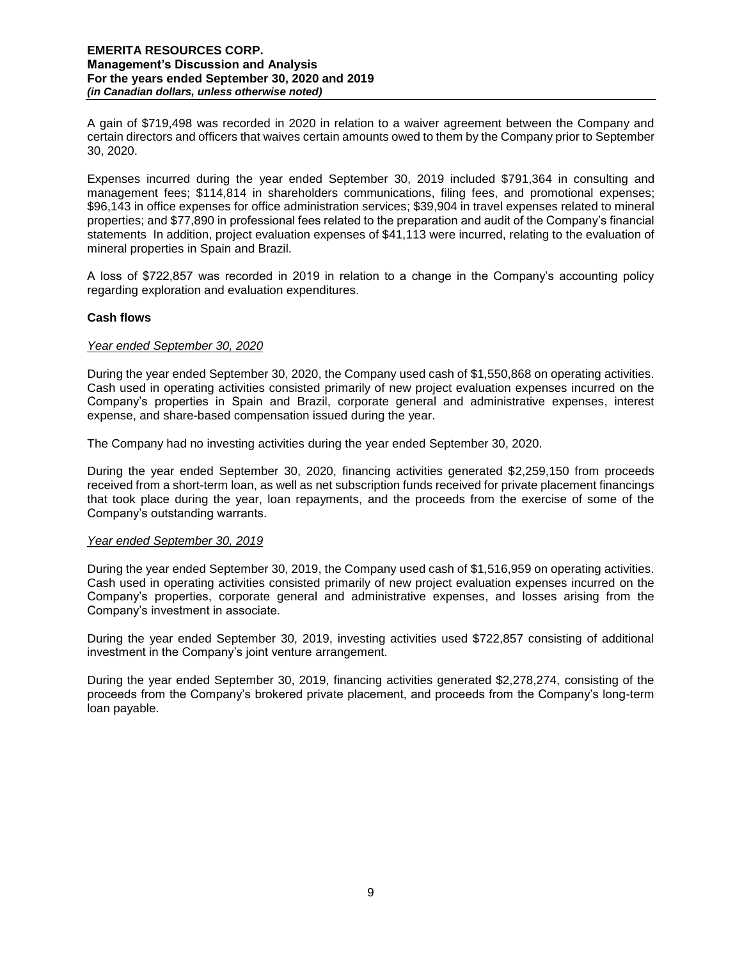A gain of \$719,498 was recorded in 2020 in relation to a waiver agreement between the Company and certain directors and officers that waives certain amounts owed to them by the Company prior to September 30, 2020.

Expenses incurred during the year ended September 30, 2019 included \$791,364 in consulting and management fees; \$114,814 in shareholders communications, filing fees, and promotional expenses; \$96,143 in office expenses for office administration services; \$39,904 in travel expenses related to mineral properties; and \$77,890 in professional fees related to the preparation and audit of the Company's financial statements In addition, project evaluation expenses of \$41,113 were incurred, relating to the evaluation of mineral properties in Spain and Brazil.

A loss of \$722,857 was recorded in 2019 in relation to a change in the Company's accounting policy regarding exploration and evaluation expenditures.

## **Cash flows**

## *Year ended September 30, 2020*

During the year ended September 30, 2020, the Company used cash of \$1,550,868 on operating activities. Cash used in operating activities consisted primarily of new project evaluation expenses incurred on the Company's properties in Spain and Brazil, corporate general and administrative expenses, interest expense, and share-based compensation issued during the year.

The Company had no investing activities during the year ended September 30, 2020.

During the year ended September 30, 2020, financing activities generated \$2,259,150 from proceeds received from a short-term loan, as well as net subscription funds received for private placement financings that took place during the year, loan repayments, and the proceeds from the exercise of some of the Company's outstanding warrants.

## *Year ended September 30, 2019*

During the year ended September 30, 2019, the Company used cash of \$1,516,959 on operating activities. Cash used in operating activities consisted primarily of new project evaluation expenses incurred on the Company's properties, corporate general and administrative expenses, and losses arising from the Company's investment in associate.

During the year ended September 30, 2019, investing activities used \$722,857 consisting of additional investment in the Company's joint venture arrangement.

During the year ended September 30, 2019, financing activities generated \$2,278,274, consisting of the proceeds from the Company's brokered private placement, and proceeds from the Company's long-term loan payable.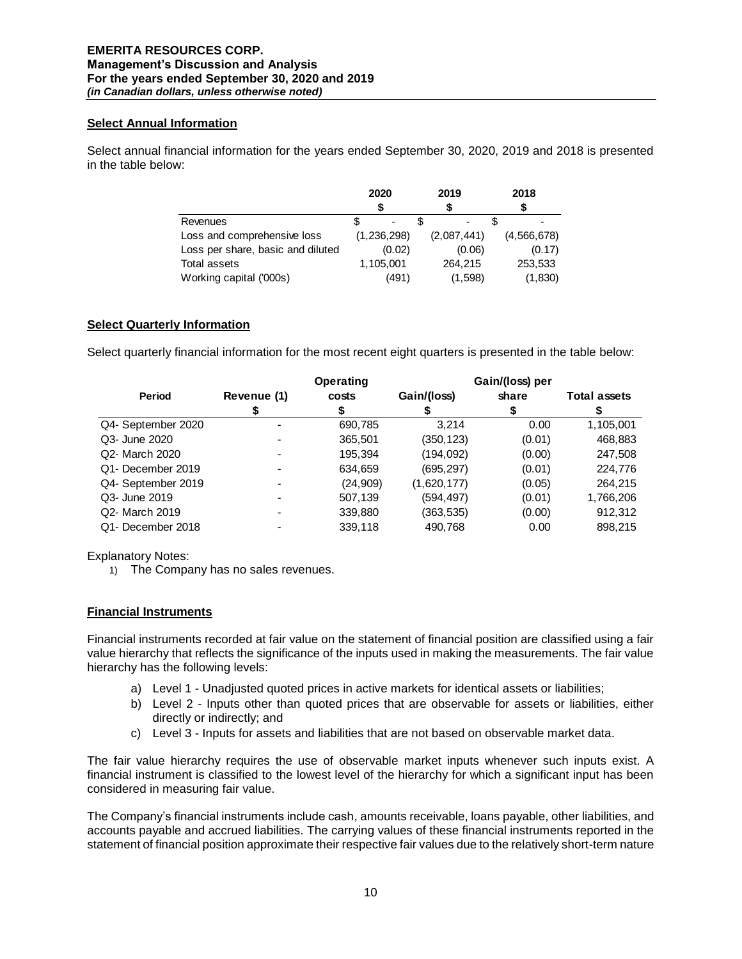## **Select Annual Information**

Select annual financial information for the years ended September 30, 2020, 2019 and 2018 is presented in the table below:

|                                   | 2020        | 2019           | 2018        |
|-----------------------------------|-------------|----------------|-------------|
|                                   |             |                |             |
| Revenues                          |             | $\blacksquare$ |             |
| Loss and comprehensive loss       | (1,236,298) | (2,087,441)    | (4,566,678) |
| Loss per share, basic and diluted | (0.02)      | (0.06)         | (0.17)      |
| Total assets                      | 1,105,001   | 264.215        | 253,533     |
| Working capital ('000s)           | (491)       | (1,598)        | (1,830)     |

# **Select Quarterly Information**

Select quarterly financial information for the most recent eight quarters is presented in the table below:

|                    |                          | <b>Operating</b> |             | Gain/(loss) per |                     |
|--------------------|--------------------------|------------------|-------------|-----------------|---------------------|
| Period             | Revenue (1)              | costs            | Gain/(loss) | share           | <b>Total assets</b> |
|                    |                          |                  |             | S               |                     |
| Q4- September 2020 |                          | 690,785          | 3.214       | 0.00            | 1,105,001           |
| Q3- June 2020      |                          | 365,501          | (350,123)   | (0.01)          | 468,883             |
| Q2- March 2020     | $\overline{\phantom{0}}$ | 195.394          | (194,092)   | (0.00)          | 247,508             |
| Q1- December 2019  |                          | 634,659          | (695, 297)  | (0.01)          | 224,776             |
| Q4- September 2019 |                          | (24, 909)        | (1,620,177) | (0.05)          | 264,215             |
| Q3- June 2019      |                          | 507,139          | (594,497)   | (0.01)          | 1,766,206           |
| Q2- March 2019     |                          | 339,880          | (363,535)   | (0.00)          | 912,312             |
| Q1- December 2018  |                          | 339,118          | 490,768     | 0.00            | 898,215             |

Explanatory Notes:

1) The Company has no sales revenues.

## **Financial Instruments**

Financial instruments recorded at fair value on the statement of financial position are classified using a fair value hierarchy that reflects the significance of the inputs used in making the measurements. The fair value hierarchy has the following levels:

- a) Level 1 Unadjusted quoted prices in active markets for identical assets or liabilities;
- b) Level 2 Inputs other than quoted prices that are observable for assets or liabilities, either directly or indirectly; and
- c) Level 3 Inputs for assets and liabilities that are not based on observable market data.

The fair value hierarchy requires the use of observable market inputs whenever such inputs exist. A financial instrument is classified to the lowest level of the hierarchy for which a significant input has been considered in measuring fair value.

The Company's financial instruments include cash, amounts receivable, loans payable, other liabilities, and accounts payable and accrued liabilities. The carrying values of these financial instruments reported in the statement of financial position approximate their respective fair values due to the relatively short-term nature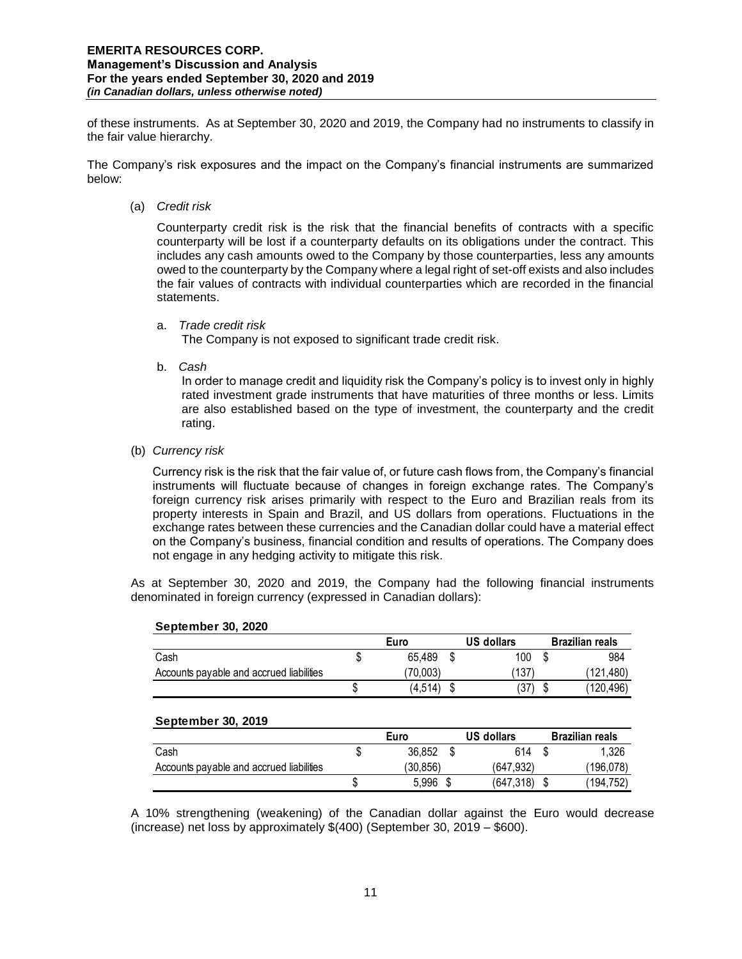of these instruments. As at September 30, 2020 and 2019, the Company had no instruments to classify in the fair value hierarchy.

The Company's risk exposures and the impact on the Company's financial instruments are summarized below:

(a) *Credit risk* 

Counterparty credit risk is the risk that the financial benefits of contracts with a specific counterparty will be lost if a counterparty defaults on its obligations under the contract. This includes any cash amounts owed to the Company by those counterparties, less any amounts owed to the counterparty by the Company where a legal right of set-off exists and also includes the fair values of contracts with individual counterparties which are recorded in the financial statements.

a. *Trade credit risk*

The Company is not exposed to significant trade credit risk.

b. *Cash* 

In order to manage credit and liquidity risk the Company's policy is to invest only in highly rated investment grade instruments that have maturities of three months or less. Limits are also established based on the type of investment, the counterparty and the credit rating.

(b) *Currency risk* 

Currency risk is the risk that the fair value of, or future cash flows from, the Company's financial instruments will fluctuate because of changes in foreign exchange rates. The Company's foreign currency risk arises primarily with respect to the Euro and Brazilian reals from its property interests in Spain and Brazil, and US dollars from operations. Fluctuations in the exchange rates between these currencies and the Canadian dollar could have a material effect on the Company's business, financial condition and results of operations. The Company does not engage in any hedging activity to mitigate this risk.

As at September 30, 2020 and 2019, the Company had the following financial instruments denominated in foreign currency (expressed in Canadian dollars):

**Euro US dollars Brazilian reals**

| Cash                                     | \$<br>65.489 | S  | 100               | S  | 984                    |
|------------------------------------------|--------------|----|-------------------|----|------------------------|
| Accounts payable and accrued liabilities | (70,003)     |    | (137)             |    | (121,480)              |
|                                          | (4, 514)     | \$ | 37)               | \$ | (120,496)              |
| September 30, 2019                       |              |    |                   |    |                        |
|                                          | Euro         |    | <b>US dollars</b> |    | <b>Brazilian reals</b> |
|                                          |              |    |                   |    |                        |
| Cash                                     | 36.852       | S  | 614               |    | 1.326                  |
| Accounts payable and accrued liabilities | (30, 856)    |    | (647,932)         |    | (196, 078)             |

#### **September 30, 2020**

A 10% strengthening (weakening) of the Canadian dollar against the Euro would decrease (increase) net loss by approximately \$(400) (September 30, 2019 – \$600).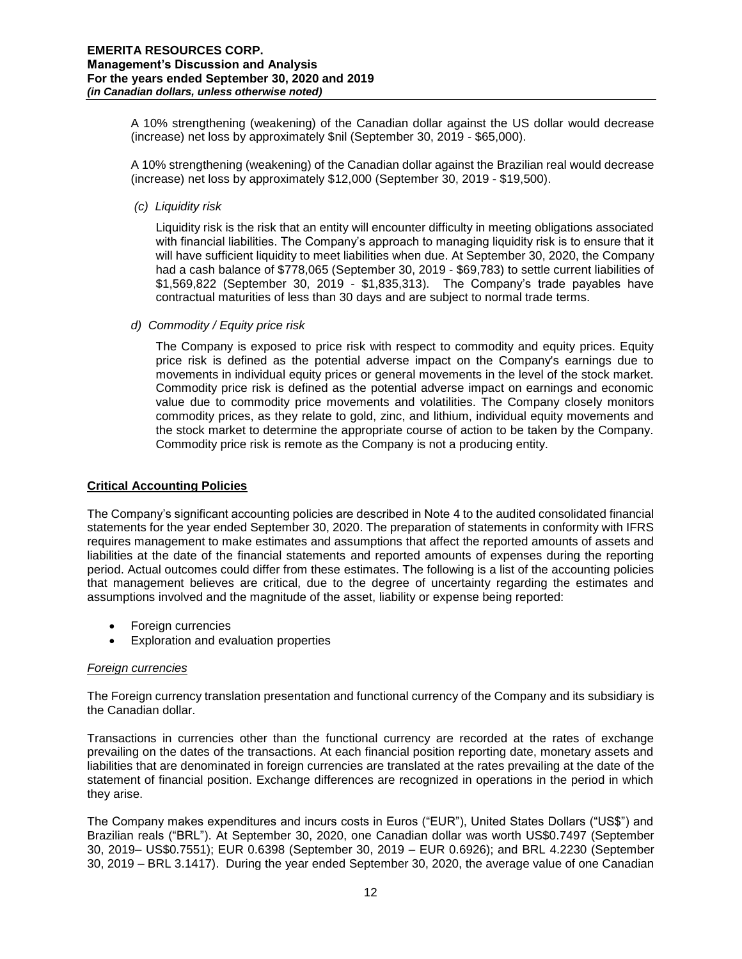A 10% strengthening (weakening) of the Canadian dollar against the US dollar would decrease (increase) net loss by approximately \$nil (September 30, 2019 - \$65,000).

A 10% strengthening (weakening) of the Canadian dollar against the Brazilian real would decrease (increase) net loss by approximately \$12,000 (September 30, 2019 - \$19,500).

*(c) Liquidity risk*

Liquidity risk is the risk that an entity will encounter difficulty in meeting obligations associated with financial liabilities. The Company's approach to managing liquidity risk is to ensure that it will have sufficient liquidity to meet liabilities when due. At September 30, 2020, the Company had a cash balance of \$778,065 (September 30, 2019 - \$69,783) to settle current liabilities of \$1,569,822 (September 30, 2019 - \$1,835,313). The Company's trade payables have contractual maturities of less than 30 days and are subject to normal trade terms.

*d) Commodity / Equity price risk*

The Company is exposed to price risk with respect to commodity and equity prices. Equity price risk is defined as the potential adverse impact on the Company's earnings due to movements in individual equity prices or general movements in the level of the stock market. Commodity price risk is defined as the potential adverse impact on earnings and economic value due to commodity price movements and volatilities. The Company closely monitors commodity prices, as they relate to gold, zinc, and lithium, individual equity movements and the stock market to determine the appropriate course of action to be taken by the Company. Commodity price risk is remote as the Company is not a producing entity.

## **Critical Accounting Policies**

The Company's significant accounting policies are described in Note 4 to the audited consolidated financial statements for the year ended September 30, 2020. The preparation of statements in conformity with IFRS requires management to make estimates and assumptions that affect the reported amounts of assets and liabilities at the date of the financial statements and reported amounts of expenses during the reporting period. Actual outcomes could differ from these estimates. The following is a list of the accounting policies that management believes are critical, due to the degree of uncertainty regarding the estimates and assumptions involved and the magnitude of the asset, liability or expense being reported:

- Foreign currencies
- Exploration and evaluation properties

## *Foreign currencies*

The Foreign currency translation presentation and functional currency of the Company and its subsidiary is the Canadian dollar.

Transactions in currencies other than the functional currency are recorded at the rates of exchange prevailing on the dates of the transactions. At each financial position reporting date, monetary assets and liabilities that are denominated in foreign currencies are translated at the rates prevailing at the date of the statement of financial position. Exchange differences are recognized in operations in the period in which they arise.

The Company makes expenditures and incurs costs in Euros ("EUR"), United States Dollars ("US\$") and Brazilian reals ("BRL"). At September 30, 2020, one Canadian dollar was worth US\$0.7497 (September 30, 2019– US\$0.7551); EUR 0.6398 (September 30, 2019 – EUR 0.6926); and BRL 4.2230 (September 30, 2019 – BRL 3.1417). During the year ended September 30, 2020, the average value of one Canadian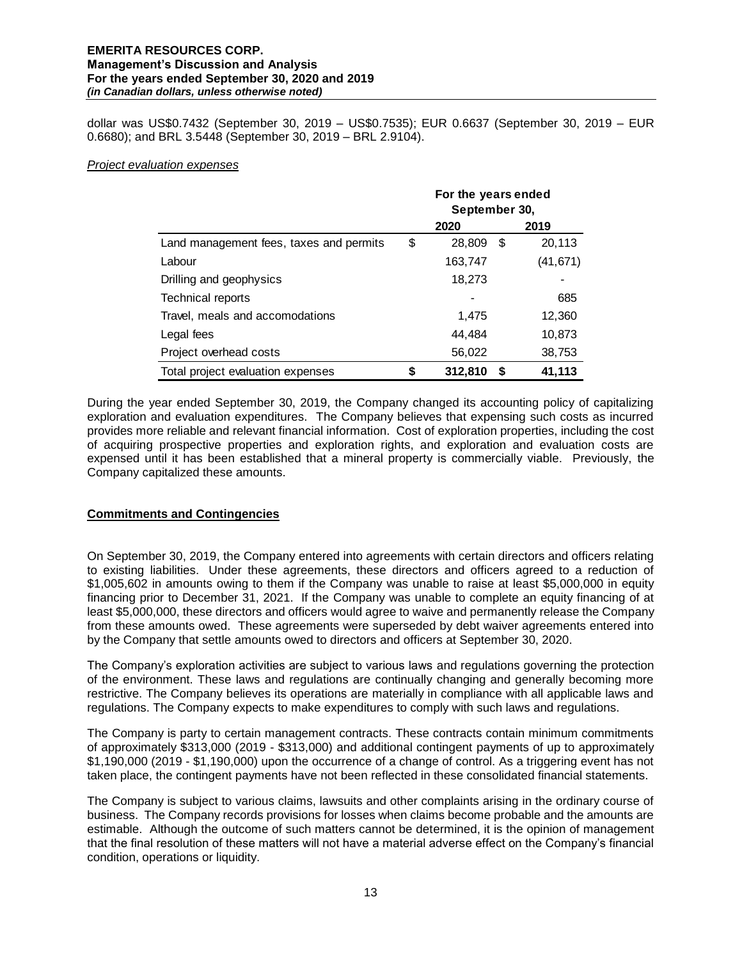dollar was US\$0.7432 (September 30, 2019 – US\$0.7535); EUR 0.6637 (September 30, 2019 – EUR 0.6680); and BRL 3.5448 (September 30, 2019 – BRL 2.9104).

### *Project evaluation expenses*

|                                         | For the years ended<br>September 30, |         |      |           |
|-----------------------------------------|--------------------------------------|---------|------|-----------|
|                                         |                                      | 2020    |      | 2019      |
| Land management fees, taxes and permits | \$                                   | 28,809  | \$   | 20,113    |
| Labour                                  |                                      | 163,747 |      | (41, 671) |
| Drilling and geophysics                 |                                      | 18,273  |      |           |
| Technical reports                       |                                      |         |      | 685       |
| Travel, meals and accomodations         |                                      | 1,475   |      | 12,360    |
| Legal fees                              |                                      | 44,484  |      | 10,873    |
| Project overhead costs                  |                                      | 56,022  |      | 38,753    |
| Total project evaluation expenses       | \$                                   | 312,810 | - \$ | 41,113    |

During the year ended September 30, 2019, the Company changed its accounting policy of capitalizing exploration and evaluation expenditures. The Company believes that expensing such costs as incurred provides more reliable and relevant financial information. Cost of exploration properties, including the cost of acquiring prospective properties and exploration rights, and exploration and evaluation costs are expensed until it has been established that a mineral property is commercially viable. Previously, the Company capitalized these amounts.

## **Commitments and Contingencies**

On September 30, 2019, the Company entered into agreements with certain directors and officers relating to existing liabilities. Under these agreements, these directors and officers agreed to a reduction of \$1,005,602 in amounts owing to them if the Company was unable to raise at least \$5,000,000 in equity financing prior to December 31, 2021. If the Company was unable to complete an equity financing of at least \$5,000,000, these directors and officers would agree to waive and permanently release the Company from these amounts owed. These agreements were superseded by debt waiver agreements entered into by the Company that settle amounts owed to directors and officers at September 30, 2020.

The Company's exploration activities are subject to various laws and regulations governing the protection of the environment. These laws and regulations are continually changing and generally becoming more restrictive. The Company believes its operations are materially in compliance with all applicable laws and regulations. The Company expects to make expenditures to comply with such laws and regulations.

The Company is party to certain management contracts. These contracts contain minimum commitments of approximately \$313,000 (2019 - \$313,000) and additional contingent payments of up to approximately \$1,190,000 (2019 - \$1,190,000) upon the occurrence of a change of control. As a triggering event has not taken place, the contingent payments have not been reflected in these consolidated financial statements.

The Company is subject to various claims, lawsuits and other complaints arising in the ordinary course of business. The Company records provisions for losses when claims become probable and the amounts are estimable. Although the outcome of such matters cannot be determined, it is the opinion of management that the final resolution of these matters will not have a material adverse effect on the Company's financial condition, operations or liquidity.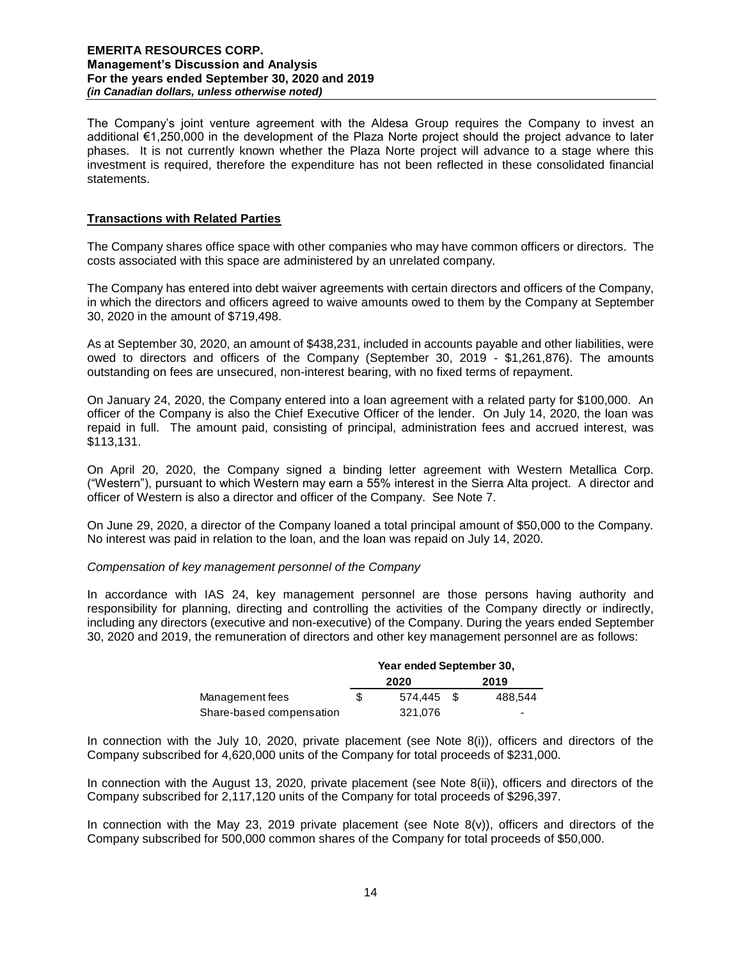The Company's joint venture agreement with the Aldesa Group requires the Company to invest an additional €1,250,000 in the development of the Plaza Norte project should the project advance to later phases. It is not currently known whether the Plaza Norte project will advance to a stage where this investment is required, therefore the expenditure has not been reflected in these consolidated financial statements.

## **Transactions with Related Parties**

The Company shares office space with other companies who may have common officers or directors. The costs associated with this space are administered by an unrelated company.

The Company has entered into debt waiver agreements with certain directors and officers of the Company, in which the directors and officers agreed to waive amounts owed to them by the Company at September 30, 2020 in the amount of \$719,498.

As at September 30, 2020, an amount of \$438,231, included in accounts payable and other liabilities, were owed to directors and officers of the Company (September 30, 2019 - \$1,261,876). The amounts outstanding on fees are unsecured, non-interest bearing, with no fixed terms of repayment.

On January 24, 2020, the Company entered into a loan agreement with a related party for \$100,000. An officer of the Company is also the Chief Executive Officer of the lender. On July 14, 2020, the loan was repaid in full. The amount paid, consisting of principal, administration fees and accrued interest, was \$113,131.

On April 20, 2020, the Company signed a binding letter agreement with Western Metallica Corp. ("Western"), pursuant to which Western may earn a 55% interest in the Sierra Alta project. A director and officer of Western is also a director and officer of the Company. See Note 7.

On June 29, 2020, a director of the Company loaned a total principal amount of \$50,000 to the Company. No interest was paid in relation to the loan, and the loan was repaid on July 14, 2020.

## *Compensation of key management personnel of the Company*

In accordance with IAS 24, key management personnel are those persons having authority and responsibility for planning, directing and controlling the activities of the Company directly or indirectly, including any directors (executive and non-executive) of the Company. During the years ended September 30, 2020 and 2019, the remuneration of directors and other key management personnel are as follows:

|                          | Year ended September 30, |            |  |                          |
|--------------------------|--------------------------|------------|--|--------------------------|
|                          |                          | 2020       |  | 2019                     |
| Management fees          | S                        | 574.445 \$ |  | 488.544                  |
| Share-based compensation |                          | 321.076    |  | $\overline{\phantom{0}}$ |

In connection with the July 10, 2020, private placement (see Note 8(i)), officers and directors of the Company subscribed for 4,620,000 units of the Company for total proceeds of \$231,000.

In connection with the August 13, 2020, private placement (see Note 8(ii)), officers and directors of the Company subscribed for 2,117,120 units of the Company for total proceeds of \$296,397.

In connection with the May 23, 2019 private placement (see Note  $8(v)$ ), officers and directors of the Company subscribed for 500,000 common shares of the Company for total proceeds of \$50,000.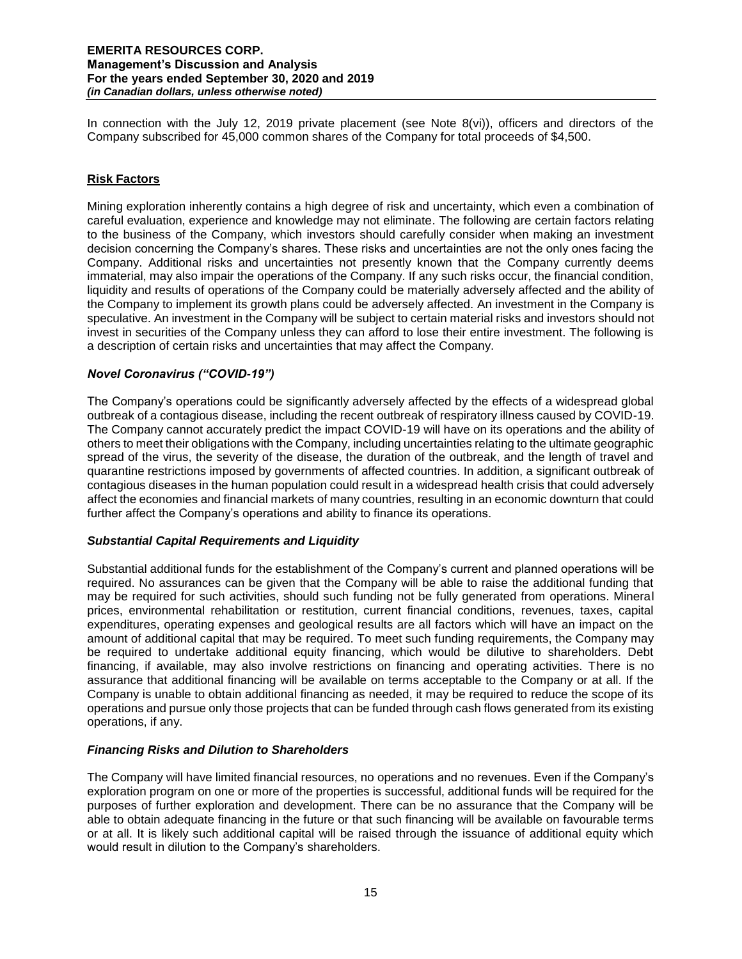In connection with the July 12, 2019 private placement (see Note 8(vi)), officers and directors of the Company subscribed for 45,000 common shares of the Company for total proceeds of \$4,500.

## **Risk Factors**

Mining exploration inherently contains a high degree of risk and uncertainty, which even a combination of careful evaluation, experience and knowledge may not eliminate. The following are certain factors relating to the business of the Company, which investors should carefully consider when making an investment decision concerning the Company's shares. These risks and uncertainties are not the only ones facing the Company. Additional risks and uncertainties not presently known that the Company currently deems immaterial, may also impair the operations of the Company. If any such risks occur, the financial condition, liquidity and results of operations of the Company could be materially adversely affected and the ability of the Company to implement its growth plans could be adversely affected. An investment in the Company is speculative. An investment in the Company will be subject to certain material risks and investors should not invest in securities of the Company unless they can afford to lose their entire investment. The following is a description of certain risks and uncertainties that may affect the Company.

## *Novel Coronavirus ("COVID-19")*

The Company's operations could be significantly adversely affected by the effects of a widespread global outbreak of a contagious disease, including the recent outbreak of respiratory illness caused by COVID-19. The Company cannot accurately predict the impact COVID-19 will have on its operations and the ability of others to meet their obligations with the Company, including uncertainties relating to the ultimate geographic spread of the virus, the severity of the disease, the duration of the outbreak, and the length of travel and quarantine restrictions imposed by governments of affected countries. In addition, a significant outbreak of contagious diseases in the human population could result in a widespread health crisis that could adversely affect the economies and financial markets of many countries, resulting in an economic downturn that could further affect the Company's operations and ability to finance its operations.

## *Substantial Capital Requirements and Liquidity*

Substantial additional funds for the establishment of the Company's current and planned operations will be required. No assurances can be given that the Company will be able to raise the additional funding that may be required for such activities, should such funding not be fully generated from operations. Mineral prices, environmental rehabilitation or restitution, current financial conditions, revenues, taxes, capital expenditures, operating expenses and geological results are all factors which will have an impact on the amount of additional capital that may be required. To meet such funding requirements, the Company may be required to undertake additional equity financing, which would be dilutive to shareholders. Debt financing, if available, may also involve restrictions on financing and operating activities. There is no assurance that additional financing will be available on terms acceptable to the Company or at all. If the Company is unable to obtain additional financing as needed, it may be required to reduce the scope of its operations and pursue only those projects that can be funded through cash flows generated from its existing operations, if any.

## *Financing Risks and Dilution to Shareholders*

The Company will have limited financial resources, no operations and no revenues. Even if the Company's exploration program on one or more of the properties is successful, additional funds will be required for the purposes of further exploration and development. There can be no assurance that the Company will be able to obtain adequate financing in the future or that such financing will be available on favourable terms or at all. It is likely such additional capital will be raised through the issuance of additional equity which would result in dilution to the Company's shareholders.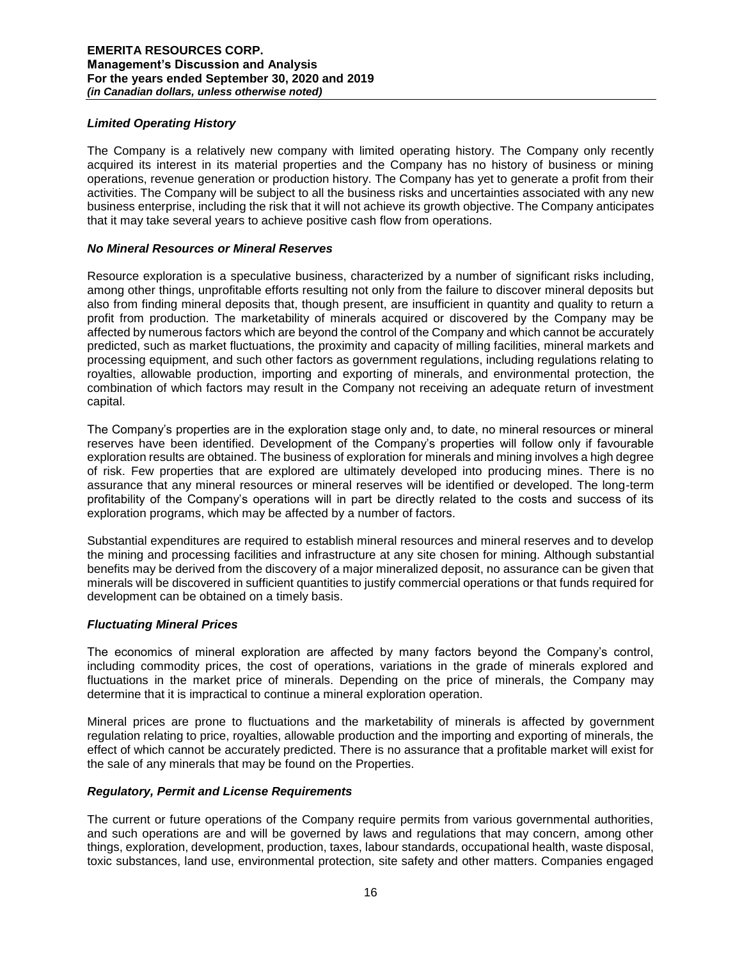## *Limited Operating History*

The Company is a relatively new company with limited operating history. The Company only recently acquired its interest in its material properties and the Company has no history of business or mining operations, revenue generation or production history. The Company has yet to generate a profit from their activities. The Company will be subject to all the business risks and uncertainties associated with any new business enterprise, including the risk that it will not achieve its growth objective. The Company anticipates that it may take several years to achieve positive cash flow from operations.

## *No Mineral Resources or Mineral Reserves*

Resource exploration is a speculative business, characterized by a number of significant risks including, among other things, unprofitable efforts resulting not only from the failure to discover mineral deposits but also from finding mineral deposits that, though present, are insufficient in quantity and quality to return a profit from production. The marketability of minerals acquired or discovered by the Company may be affected by numerous factors which are beyond the control of the Company and which cannot be accurately predicted, such as market fluctuations, the proximity and capacity of milling facilities, mineral markets and processing equipment, and such other factors as government regulations, including regulations relating to royalties, allowable production, importing and exporting of minerals, and environmental protection, the combination of which factors may result in the Company not receiving an adequate return of investment capital.

The Company's properties are in the exploration stage only and, to date, no mineral resources or mineral reserves have been identified. Development of the Company's properties will follow only if favourable exploration results are obtained. The business of exploration for minerals and mining involves a high degree of risk. Few properties that are explored are ultimately developed into producing mines. There is no assurance that any mineral resources or mineral reserves will be identified or developed. The long-term profitability of the Company's operations will in part be directly related to the costs and success of its exploration programs, which may be affected by a number of factors.

Substantial expenditures are required to establish mineral resources and mineral reserves and to develop the mining and processing facilities and infrastructure at any site chosen for mining. Although substantial benefits may be derived from the discovery of a major mineralized deposit, no assurance can be given that minerals will be discovered in sufficient quantities to justify commercial operations or that funds required for development can be obtained on a timely basis.

## *Fluctuating Mineral Prices*

The economics of mineral exploration are affected by many factors beyond the Company's control, including commodity prices, the cost of operations, variations in the grade of minerals explored and fluctuations in the market price of minerals. Depending on the price of minerals, the Company may determine that it is impractical to continue a mineral exploration operation.

Mineral prices are prone to fluctuations and the marketability of minerals is affected by government regulation relating to price, royalties, allowable production and the importing and exporting of minerals, the effect of which cannot be accurately predicted. There is no assurance that a profitable market will exist for the sale of any minerals that may be found on the Properties.

## *Regulatory, Permit and License Requirements*

The current or future operations of the Company require permits from various governmental authorities, and such operations are and will be governed by laws and regulations that may concern, among other things, exploration, development, production, taxes, labour standards, occupational health, waste disposal, toxic substances, land use, environmental protection, site safety and other matters. Companies engaged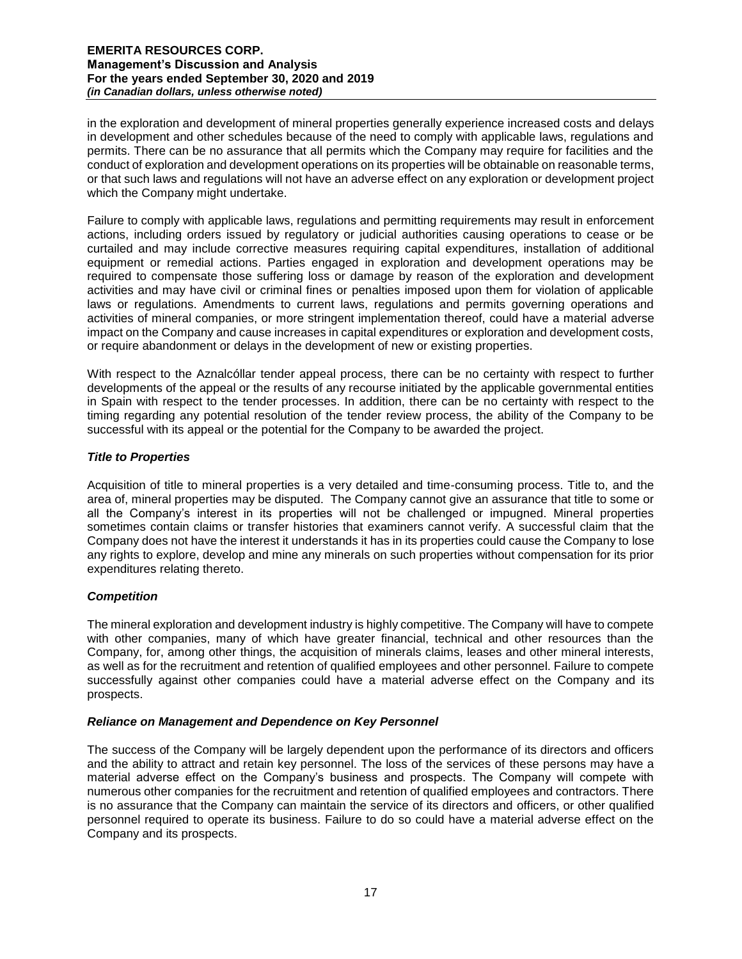in the exploration and development of mineral properties generally experience increased costs and delays in development and other schedules because of the need to comply with applicable laws, regulations and permits. There can be no assurance that all permits which the Company may require for facilities and the conduct of exploration and development operations on its properties will be obtainable on reasonable terms, or that such laws and regulations will not have an adverse effect on any exploration or development project which the Company might undertake.

Failure to comply with applicable laws, regulations and permitting requirements may result in enforcement actions, including orders issued by regulatory or judicial authorities causing operations to cease or be curtailed and may include corrective measures requiring capital expenditures, installation of additional equipment or remedial actions. Parties engaged in exploration and development operations may be required to compensate those suffering loss or damage by reason of the exploration and development activities and may have civil or criminal fines or penalties imposed upon them for violation of applicable laws or regulations. Amendments to current laws, regulations and permits governing operations and activities of mineral companies, or more stringent implementation thereof, could have a material adverse impact on the Company and cause increases in capital expenditures or exploration and development costs, or require abandonment or delays in the development of new or existing properties.

With respect to the Aznalcóllar tender appeal process, there can be no certainty with respect to further developments of the appeal or the results of any recourse initiated by the applicable governmental entities in Spain with respect to the tender processes. In addition, there can be no certainty with respect to the timing regarding any potential resolution of the tender review process, the ability of the Company to be successful with its appeal or the potential for the Company to be awarded the project.

## *Title to Properties*

Acquisition of title to mineral properties is a very detailed and time-consuming process. Title to, and the area of, mineral properties may be disputed. The Company cannot give an assurance that title to some or all the Company's interest in its properties will not be challenged or impugned. Mineral properties sometimes contain claims or transfer histories that examiners cannot verify. A successful claim that the Company does not have the interest it understands it has in its properties could cause the Company to lose any rights to explore, develop and mine any minerals on such properties without compensation for its prior expenditures relating thereto.

## *Competition*

The mineral exploration and development industry is highly competitive. The Company will have to compete with other companies, many of which have greater financial, technical and other resources than the Company, for, among other things, the acquisition of minerals claims, leases and other mineral interests, as well as for the recruitment and retention of qualified employees and other personnel. Failure to compete successfully against other companies could have a material adverse effect on the Company and its prospects.

## *Reliance on Management and Dependence on Key Personnel*

The success of the Company will be largely dependent upon the performance of its directors and officers and the ability to attract and retain key personnel. The loss of the services of these persons may have a material adverse effect on the Company's business and prospects. The Company will compete with numerous other companies for the recruitment and retention of qualified employees and contractors. There is no assurance that the Company can maintain the service of its directors and officers, or other qualified personnel required to operate its business. Failure to do so could have a material adverse effect on the Company and its prospects.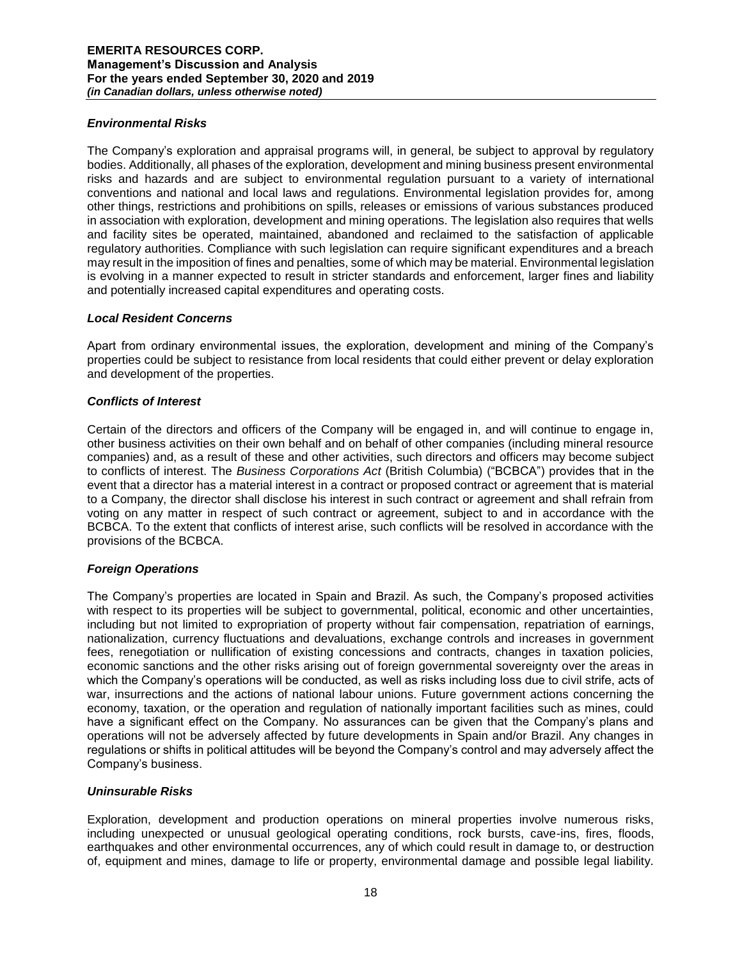## *Environmental Risks*

The Company's exploration and appraisal programs will, in general, be subject to approval by regulatory bodies. Additionally, all phases of the exploration, development and mining business present environmental risks and hazards and are subject to environmental regulation pursuant to a variety of international conventions and national and local laws and regulations. Environmental legislation provides for, among other things, restrictions and prohibitions on spills, releases or emissions of various substances produced in association with exploration, development and mining operations. The legislation also requires that wells and facility sites be operated, maintained, abandoned and reclaimed to the satisfaction of applicable regulatory authorities. Compliance with such legislation can require significant expenditures and a breach may result in the imposition of fines and penalties, some of which may be material. Environmental legislation is evolving in a manner expected to result in stricter standards and enforcement, larger fines and liability and potentially increased capital expenditures and operating costs.

## *Local Resident Concerns*

Apart from ordinary environmental issues, the exploration, development and mining of the Company's properties could be subject to resistance from local residents that could either prevent or delay exploration and development of the properties.

## *Conflicts of Interest*

Certain of the directors and officers of the Company will be engaged in, and will continue to engage in, other business activities on their own behalf and on behalf of other companies (including mineral resource companies) and, as a result of these and other activities, such directors and officers may become subject to conflicts of interest. The *Business Corporations Act* (British Columbia) ("BCBCA") provides that in the event that a director has a material interest in a contract or proposed contract or agreement that is material to a Company, the director shall disclose his interest in such contract or agreement and shall refrain from voting on any matter in respect of such contract or agreement, subject to and in accordance with the BCBCA. To the extent that conflicts of interest arise, such conflicts will be resolved in accordance with the provisions of the BCBCA.

## *Foreign Operations*

The Company's properties are located in Spain and Brazil. As such, the Company's proposed activities with respect to its properties will be subject to governmental, political, economic and other uncertainties, including but not limited to expropriation of property without fair compensation, repatriation of earnings, nationalization, currency fluctuations and devaluations, exchange controls and increases in government fees, renegotiation or nullification of existing concessions and contracts, changes in taxation policies, economic sanctions and the other risks arising out of foreign governmental sovereignty over the areas in which the Company's operations will be conducted, as well as risks including loss due to civil strife, acts of war, insurrections and the actions of national labour unions. Future government actions concerning the economy, taxation, or the operation and regulation of nationally important facilities such as mines, could have a significant effect on the Company. No assurances can be given that the Company's plans and operations will not be adversely affected by future developments in Spain and/or Brazil. Any changes in regulations or shifts in political attitudes will be beyond the Company's control and may adversely affect the Company's business.

## *Uninsurable Risks*

Exploration, development and production operations on mineral properties involve numerous risks, including unexpected or unusual geological operating conditions, rock bursts, cave-ins, fires, floods, earthquakes and other environmental occurrences, any of which could result in damage to, or destruction of, equipment and mines, damage to life or property, environmental damage and possible legal liability.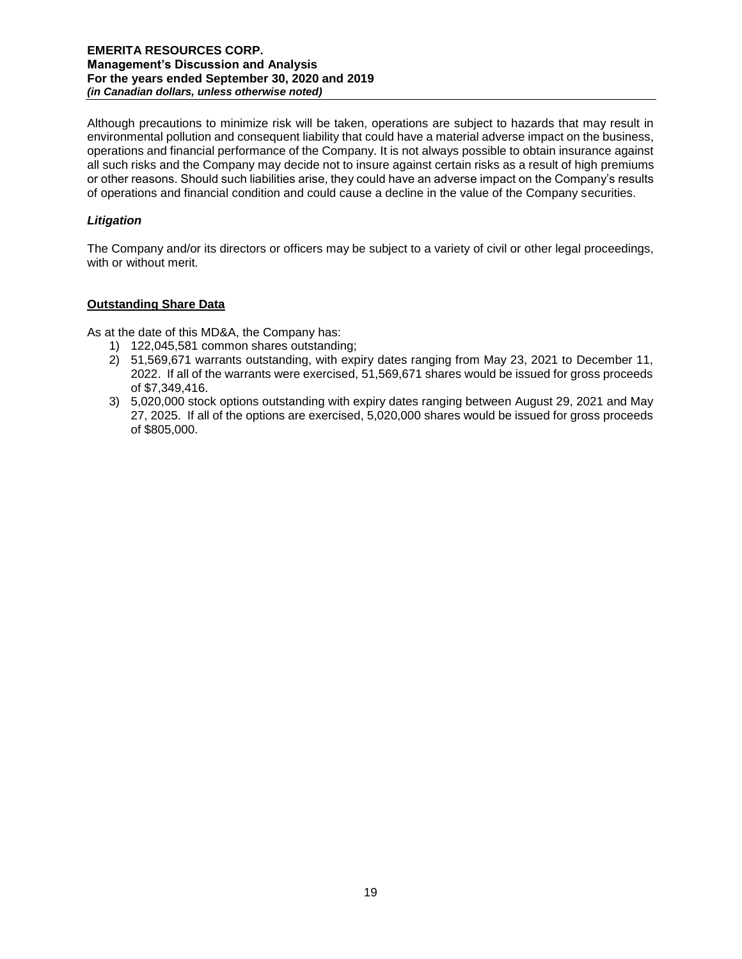Although precautions to minimize risk will be taken, operations are subject to hazards that may result in environmental pollution and consequent liability that could have a material adverse impact on the business, operations and financial performance of the Company. It is not always possible to obtain insurance against all such risks and the Company may decide not to insure against certain risks as a result of high premiums or other reasons. Should such liabilities arise, they could have an adverse impact on the Company's results of operations and financial condition and could cause a decline in the value of the Company securities.

## *Litigation*

The Company and/or its directors or officers may be subject to a variety of civil or other legal proceedings, with or without merit.

## **Outstanding Share Data**

As at the date of this MD&A, the Company has:

- 1) 122,045,581 common shares outstanding;
- 2) 51,569,671 warrants outstanding, with expiry dates ranging from May 23, 2021 to December 11, 2022. If all of the warrants were exercised, 51,569,671 shares would be issued for gross proceeds of \$7,349,416.
- 3) 5,020,000 stock options outstanding with expiry dates ranging between August 29, 2021 and May 27, 2025. If all of the options are exercised, 5,020,000 shares would be issued for gross proceeds of \$805,000.